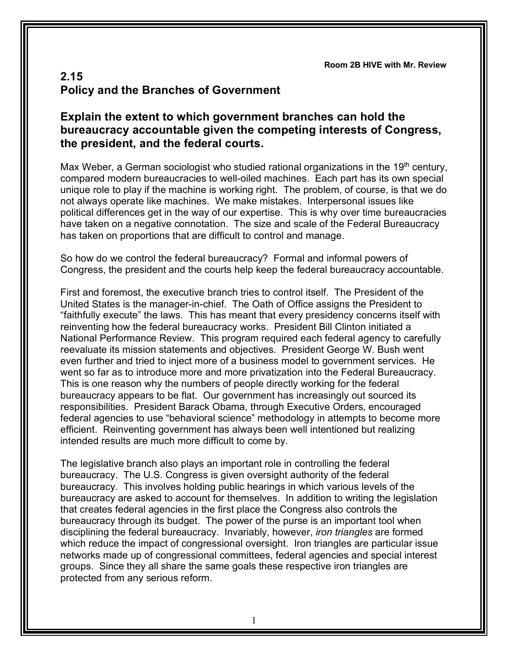**Room 2B HIVE with Mr. Review**

## **2.15 Policy and the Branches of Government**

## **Explain the extent to which government branches can hold the bureaucracy accountable given the competing interests of Congress, the president, and the federal courts.**

Max Weber, a German sociologist who studied rational organizations in the  $19<sup>th</sup>$  century, compared modern bureaucracies to well-oiled machines. Each part has its own special unique role to play if the machine is working right. The problem, of course, is that we do not always operate like machines. We make mistakes. Interpersonal issues like political differences get in the way of our expertise. This is why over time bureaucracies have taken on a negative connotation. The size and scale of the Federal Bureaucracy has taken on proportions that are difficult to control and manage.

So how do we control the federal bureaucracy? Formal and informal powers of Congress, the president and the courts help keep the federal bureaucracy accountable.

First and foremost, the executive branch tries to control itself. The President of the United States is the manager-in-chief. The Oath of Office assigns the President to "faithfully execute" the laws. This has meant that every presidency concerns itself with reinventing how the federal bureaucracy works. President Bill Clinton initiated a National Performance Review. This program required each federal agency to carefully reevaluate its mission statements and objectives. President George W. Bush went even further and tried to inject more of a business model to government services. He went so far as to introduce more and more privatization into the Federal Bureaucracy. This is one reason why the numbers of people directly working for the federal bureaucracy appears to be flat. Our government has increasingly out sourced its responsibilities. President Barack Obama, through Executive Orders, encouraged federal agencies to use "behavioral science" methodology in attempts to become more efficient. Reinventing government has always been well intentioned but realizing intended results are much more difficult to come by.

The legislative branch also plays an important role in controlling the federal bureaucracy. The U.S. Congress is given oversight authority of the federal bureaucracy. This involves holding public hearings in which various levels of the bureaucracy are asked to account for themselves. In addition to writing the legislation that creates federal agencies in the first place the Congress also controls the bureaucracy through its budget. The power of the purse is an important tool when disciplining the federal bureaucracy. Invariably, however, *iron triangles* are formed which reduce the impact of congressional oversight. Iron triangles are particular issue networks made up of congressional committees, federal agencies and special interest groups. Since they all share the same goals these respective iron triangles are protected from any serious reform.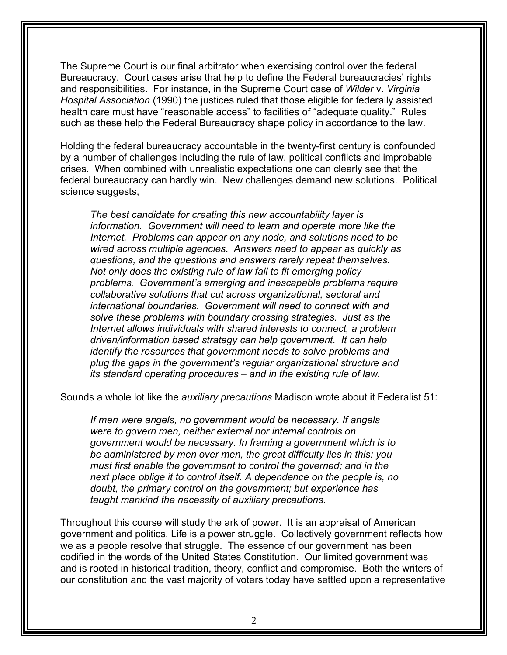The Supreme Court is our final arbitrator when exercising control over the federal Bureaucracy. Court cases arise that help to define the Federal bureaucracies' rights and responsibilities. For instance, in the Supreme Court case of *Wilder* v. *Virginia Hospital Association* (1990) the justices ruled that those eligible for federally assisted health care must have "reasonable access" to facilities of "adequate quality." Rules such as these help the Federal Bureaucracy shape policy in accordance to the law.

Holding the federal bureaucracy accountable in the twenty-first century is confounded by a number of challenges including the rule of law, political conflicts and improbable crises. When combined with unrealistic expectations one can clearly see that the federal bureaucracy can hardly win. New challenges demand new solutions. Political science suggests,

*The best candidate for creating this new accountability layer is information. Government will need to learn and operate more like the Internet. Problems can appear on any node, and solutions need to be wired across multiple agencies. Answers need to appear as quickly as questions, and the questions and answers rarely repeat themselves. Not only does the existing rule of law fail to fit emerging policy problems. Government's emerging and inescapable problems require collaborative solutions that cut across organizational, sectoral and international boundaries. Government will need to connect with and solve these problems with boundary crossing strategies. Just as the Internet allows individuals with shared interests to connect, a problem driven/information based strategy can help government. It can help identify the resources that government needs to solve problems and plug the gaps in the government's regular organizational structure and its standard operating procedures – and in the existing rule of law.*

Sounds a whole lot like the *auxiliary precautions* Madison wrote about it Federalist 51:

*If men were angels, no government would be necessary. If angels were to govern men, neither external nor internal controls on government would be necessary. In framing a government which is to be administered by men over men, the great difficulty lies in this: you must first enable the government to control the governed; and in the next place oblige it to control itself. A dependence on the people is, no doubt, the primary control on the government; but experience has taught mankind the necessity of auxiliary precautions.*

Throughout this course will study the ark of power. It is an appraisal of American government and politics. Life is a power struggle. Collectively government reflects how we as a people resolve that struggle. The essence of our government has been codified in the words of the United States Constitution. Our limited government was and is rooted in historical tradition, theory, conflict and compromise. Both the writers of our constitution and the vast majority of voters today have settled upon a representative